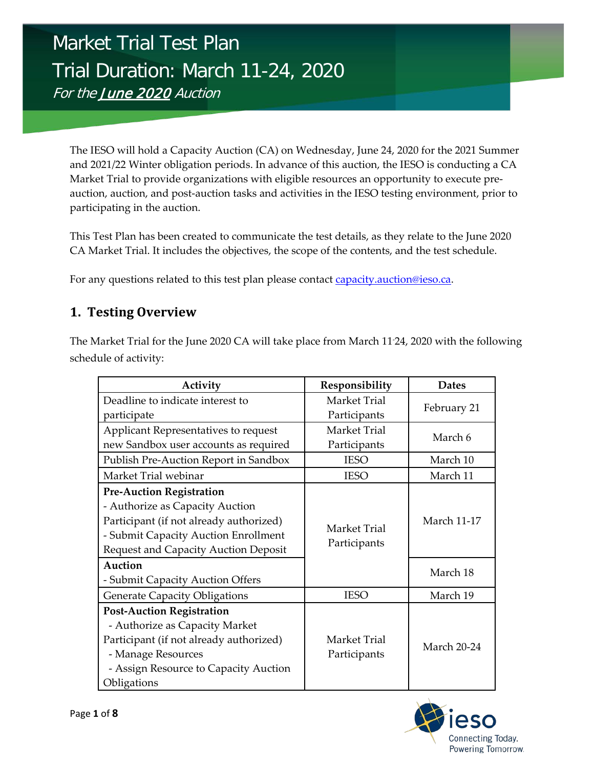# Market Trial Test Plan Trial Duration: March 11-24, 2020 For the June 2020 Auction

The IESO will hold a Capacity Auction (CA) on Wednesday, June 24, 2020 for the 2021 Summer and 2021/22 Winter obligation periods. In advance of this auction, the IESO is conducting a CA Market Trial to provide organizations with eligible resources an opportunity to execute preauction, auction, and post-auction tasks and activities in the IESO testing environment, prior to participating in the auction.

This Test Plan has been created to communicate the test details, as they relate to the June 2020 CA Market Trial. It includes the objectives, the scope of the contents, and the test schedule.

For any questions related to this test plan please contact [capacity.auction@ieso.ca.](mailto:capacity.auction@ieso.ca)

## **1. Testing Overview**

The Market Trial for the June 2020 CA will take place from March 11- 24, 2020 with the following schedule of activity:

| Activity                                                                                                                                                                                             | Responsibility               | <b>Dates</b>       |
|------------------------------------------------------------------------------------------------------------------------------------------------------------------------------------------------------|------------------------------|--------------------|
| Deadline to indicate interest to                                                                                                                                                                     | <b>Market Trial</b>          | February 21        |
| participate                                                                                                                                                                                          | Participants                 |                    |
| Applicant Representatives to request                                                                                                                                                                 | Market Trial                 | March 6            |
| new Sandbox user accounts as required                                                                                                                                                                | Participants                 |                    |
| Publish Pre-Auction Report in Sandbox                                                                                                                                                                | <b>IESO</b>                  | March 10           |
| Market Trial webinar                                                                                                                                                                                 | <b>IESO</b>                  | March 11           |
| <b>Pre-Auction Registration</b><br>- Authorize as Capacity Auction<br>Participant (if not already authorized)<br>- Submit Capacity Auction Enrollment<br><b>Request and Capacity Auction Deposit</b> | Market Trial<br>Participants | <b>March 11-17</b> |
| Auction<br>- Submit Capacity Auction Offers                                                                                                                                                          |                              | March 18           |
| <b>Generate Capacity Obligations</b>                                                                                                                                                                 | <b>IESO</b>                  | March 19           |
| <b>Post-Auction Registration</b><br>- Authorize as Capacity Market<br>Participant (if not already authorized)<br>- Manage Resources<br>- Assign Resource to Capacity Auction<br>Obligations          | Market Trial<br>Participants | <b>March 20-24</b> |

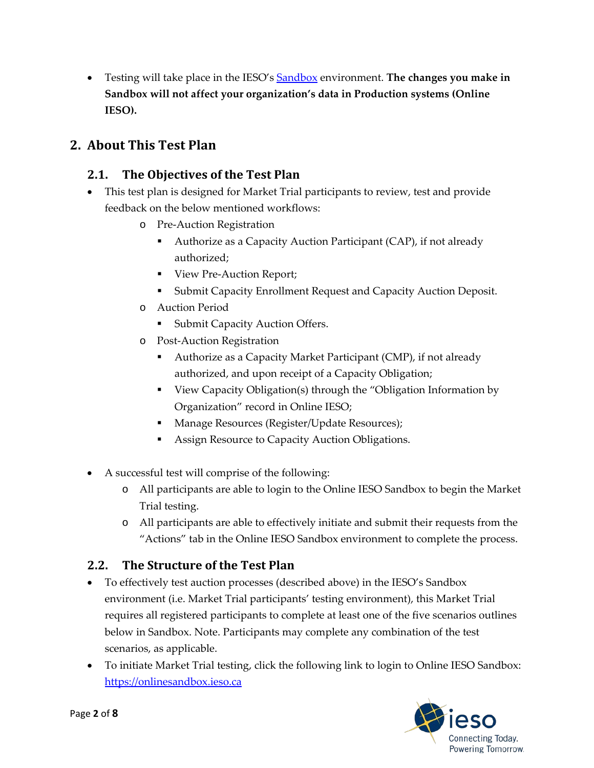• Testing will take place in the IESO's [Sandbox](https://onlinesandbox.ieso.ca/suite/tempo/news) environment. **The changes you make in Sandbox will not affect your organization's data in Production systems (Online IESO).**

## **2. About This Test Plan**

#### **2.1. The Objectives of the Test Plan**

- This test plan is designed for Market Trial participants to review, test and provide feedback on the below mentioned workflows:
	- o Pre-Auction Registration
		- Authorize as a Capacity Auction Participant (CAP), if not already authorized;
		- View Pre-Auction Report;
		- Submit Capacity Enrollment Request and Capacity Auction Deposit.
	- o Auction Period
		- **Submit Capacity Auction Offers.**
	- o Post-Auction Registration
		- Authorize as a Capacity Market Participant (CMP), if not already authorized, and upon receipt of a Capacity Obligation;
		- View Capacity Obligation(s) through the "Obligation Information by Organization" record in Online IESO;
		- **Manage Resources (Register/Update Resources);**
		- Assign Resource to Capacity Auction Obligations.
- A successful test will comprise of the following:
	- o All participants are able to login to the Online IESO Sandbox to begin the Market Trial testing.
	- o All participants are able to effectively initiate and submit their requests from the "Actions" tab in the Online IESO Sandbox environment to complete the process.

## **2.2. The Structure of the Test Plan**

- To effectively test auction processes (described above) in the IESO's Sandbox environment (i.e. Market Trial participants' testing environment), this Market Trial requires all registered participants to complete at least one of the five scenarios outlines below in Sandbox. Note. Participants may complete any combination of the test scenarios, as applicable.
- To initiate Market Trial testing, click the following link to login to Online IESO Sandbox: [https://onlinesandbox.ieso.ca](https://onlinesandbox.ieso.ca/)

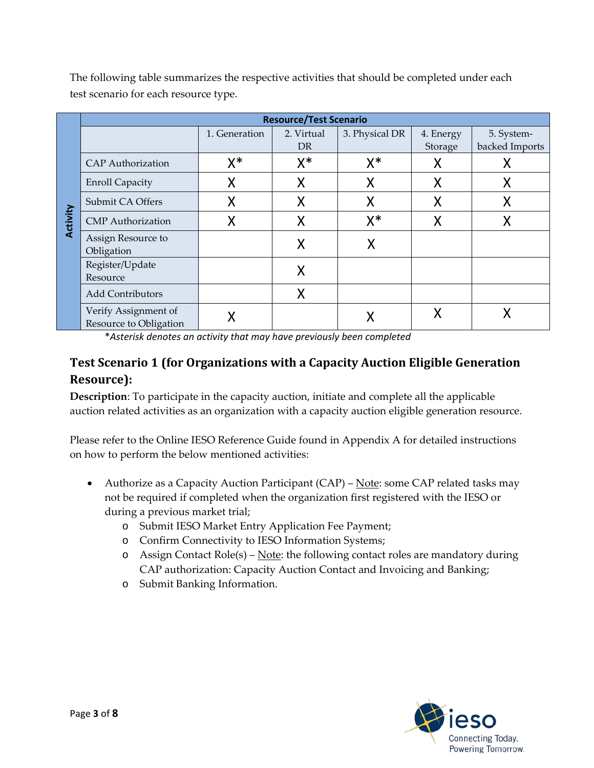**Activity Resource/Test Scenario** 1. Generation 2. Virtual DR 3. Physical DR | 4. Energy Storage 5. Systembacked Imports  $CAP$  Authorization  $X^*$   $X^*$   $X^*$   $X^*$   $X^*$   $X$   $X$ Enroll Capacity X\* X\* X\* X\* X\* Submit CA Offers X\* X\* X\* X\* X\*  $CMP$  Authorization  $X'$   $X''$   $X'''$   $X'''$   $X$ Assign Resource to Assign Resource to<br>Obligation **X** X Register/Update Register/Opdate<br>Resource Resource Add Contributors N Verify Assignment of Verify Assignment of  $X$   $X$   $X$   $X$   $X$   $X$   $X$ 

The following table summarizes the respective activities that should be completed under each test scenario for each resource type.

\**Asterisk denotes an activity that may have previously been completed*

## **Test Scenario 1 (for Organizations with a Capacity Auction Eligible Generation Resource):**

**Description**: To participate in the capacity auction, initiate and complete all the applicable auction related activities as an organization with a capacity auction eligible generation resource.

Please refer to the Online IESO Reference Guide found in Appendix A for detailed instructions on how to perform the below mentioned activities:

- Authorize as a Capacity Auction Participant  $(CAP)$  Note: some CAP related tasks may not be required if completed when the organization first registered with the IESO or during a previous market trial;
	- o Submit IESO Market Entry Application Fee Payment;
	- o Confirm Connectivity to IESO Information Systems;
	- o Assign Contact  $\text{Role}(s)$   $\text{Note: }$  the following contact roles are mandatory during CAP authorization: Capacity Auction Contact and Invoicing and Banking;
	- o Submit Banking Information.

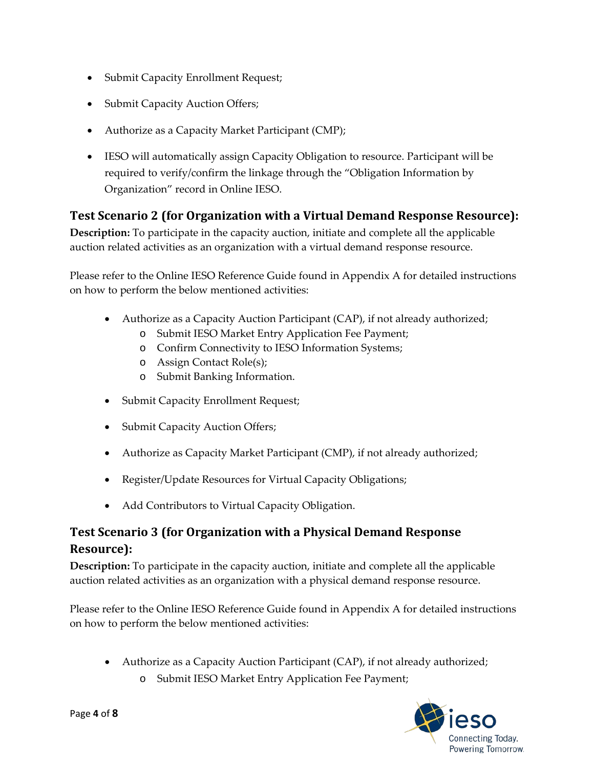- Submit Capacity Enrollment Request;
- Submit Capacity Auction Offers;
- Authorize as a Capacity Market Participant (CMP);
- IESO will automatically assign Capacity Obligation to resource. Participant will be required to verify/confirm the linkage through the "Obligation Information by Organization" record in Online IESO.

#### **Test Scenario 2 (for Organization with a Virtual Demand Response Resource):**

**Description:** To participate in the capacity auction, initiate and complete all the applicable auction related activities as an organization with a virtual demand response resource.

Please refer to the Online IESO Reference Guide found in Appendix A for detailed instructions on how to perform the below mentioned activities:

- Authorize as a Capacity Auction Participant (CAP), if not already authorized;
	- o Submit IESO Market Entry Application Fee Payment;
	- o Confirm Connectivity to IESO Information Systems;
	- o Assign Contact Role(s);
	- o Submit Banking Information.
- Submit Capacity Enrollment Request;
- Submit Capacity Auction Offers;
- Authorize as Capacity Market Participant (CMP), if not already authorized;
- Register/Update Resources for Virtual Capacity Obligations;
- Add Contributors to Virtual Capacity Obligation.

## **Test Scenario 3 (for Organization with a Physical Demand Response Resource):**

**Description:** To participate in the capacity auction, initiate and complete all the applicable auction related activities as an organization with a physical demand response resource.

Please refer to the Online IESO Reference Guide found in Appendix A for detailed instructions on how to perform the below mentioned activities:

- Authorize as a Capacity Auction Participant (CAP), if not already authorized;
	- o Submit IESO Market Entry Application Fee Payment;

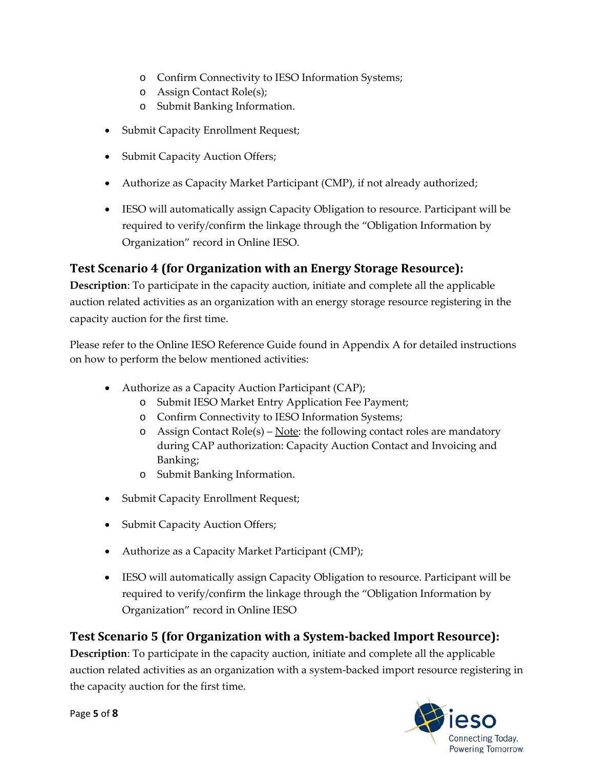- o Confirm Connectivity to IESO Information Systems;
- o Assign Contact Role(s);
- o Submit Banking Information.
- Submit Capacity Enrollment Request;
- Submit Capacity Auction Offers;
- Authorize as Capacity Market Participant (CMP), if not already authorized;
- IESO will automatically assign Capacity Obligation to resource. Participant will be required to verify/confirm the linkage through the "Obligation Information by Organization" record in Online IESO.

#### **Test Scenario 4 (for Organization with an Energy Storage Resource):**

**Description**: To participate in the capacity auction, initiate and complete all the applicable auction related activities as an organization with an energy storage resource registering in the capacity auction for the first time.

Please refer to the Online IESO Reference Guide found in Appendix A for detailed instructions on how to perform the below mentioned activities:

- Authorize as a Capacity Auction Participant (CAP);
	- o Submit IESO Market Entry Application Fee Payment;
	- o Confirm Connectivity to IESO Information Systems;
	- o Assign Contact  $\text{Role}(s)$   $\text{Note: }$  the following contact roles are mandatory during CAP authorization: Capacity Auction Contact and Invoicing and Banking;
	- o Submit Banking Information.
- Submit Capacity Enrollment Request;
- Submit Capacity Auction Offers;
- Authorize as a Capacity Market Participant (CMP);
- IESO will automatically assign Capacity Obligation to resource. Participant will be required to verify/confirm the linkage through the "Obligation Information by Organization" record in Online IESO

#### **Test Scenario 5 (for Organization with a System-backed Import Resource):**

**Description**: To participate in the capacity auction, initiate and complete all the applicable auction related activities as an organization with a system-backed import resource registering in the capacity auction for the first time.

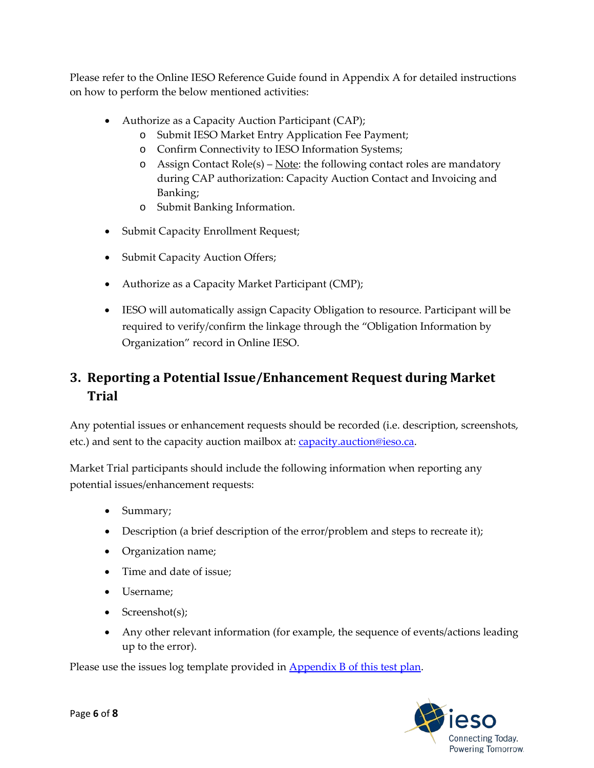Please refer to the Online IESO Reference Guide found in Appendix A for detailed instructions on how to perform the below mentioned activities:

- Authorize as a Capacity Auction Participant (CAP);
	- o Submit IESO Market Entry Application Fee Payment;
	- o Confirm Connectivity to IESO Information Systems;
	- o Assign Contact  $\text{Role}(s)$   $\text{Note: }$  the following contact roles are mandatory during CAP authorization: Capacity Auction Contact and Invoicing and Banking;
	- o Submit Banking Information.
- Submit Capacity Enrollment Request;
- Submit Capacity Auction Offers;
- Authorize as a Capacity Market Participant (CMP);
- IESO will automatically assign Capacity Obligation to resource. Participant will be required to verify/confirm the linkage through the "Obligation Information by Organization" record in Online IESO.

# **3. Reporting a Potential Issue/Enhancement Request during Market Trial**

Any potential issues or enhancement requests should be recorded (i.e. description, screenshots, etc.) and sent to the capacity auction mailbox at: **capacity** auction@ieso.ca.

Market Trial participants should include the following information when reporting any potential issues/enhancement requests:

- Summary;
- Description (a brief description of the error/problem and steps to recreate it);
- Organization name;
- Time and date of issue;
- Username;
- Screenshot(s);
- Any other relevant information (for example, the sequence of events/actions leading up to the error).

Please use the issues log template provided in **Appendix B** of this test plan.

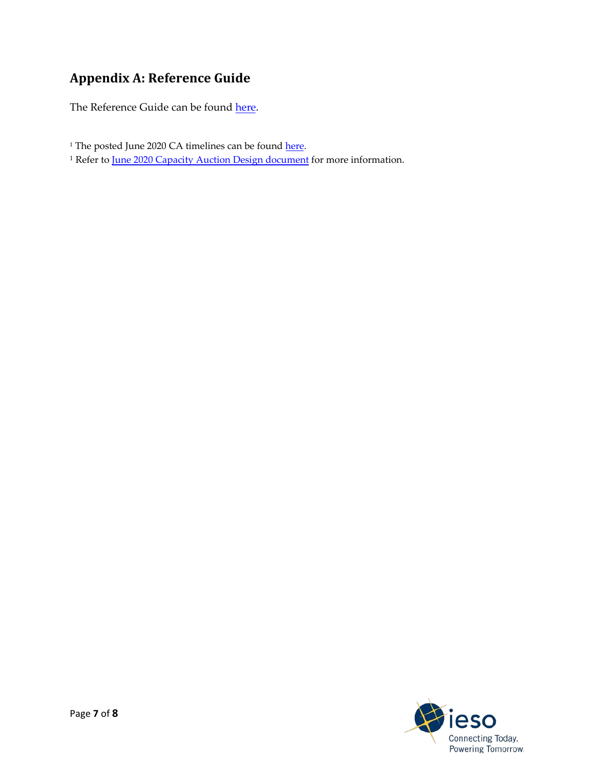# **Appendix A: Reference Guide**

The Reference Guide can be found here.

- <sup>1</sup> The posted June 2020 CA timelines can be found [here.](http://www.ieso.ca/Sector-Participants/Market-Operations/Markets-and-Related-Programs/Capacity-Auction)
- <sup>1</sup> Refer to <u>June 2020 Capacity [Auction Design](http://www.ieso.ca/-/media/Files/IESO/Document-Library/engage/ca/ca-20191206-capacity-auction-design.pdf?la=en) document</u> for more information.